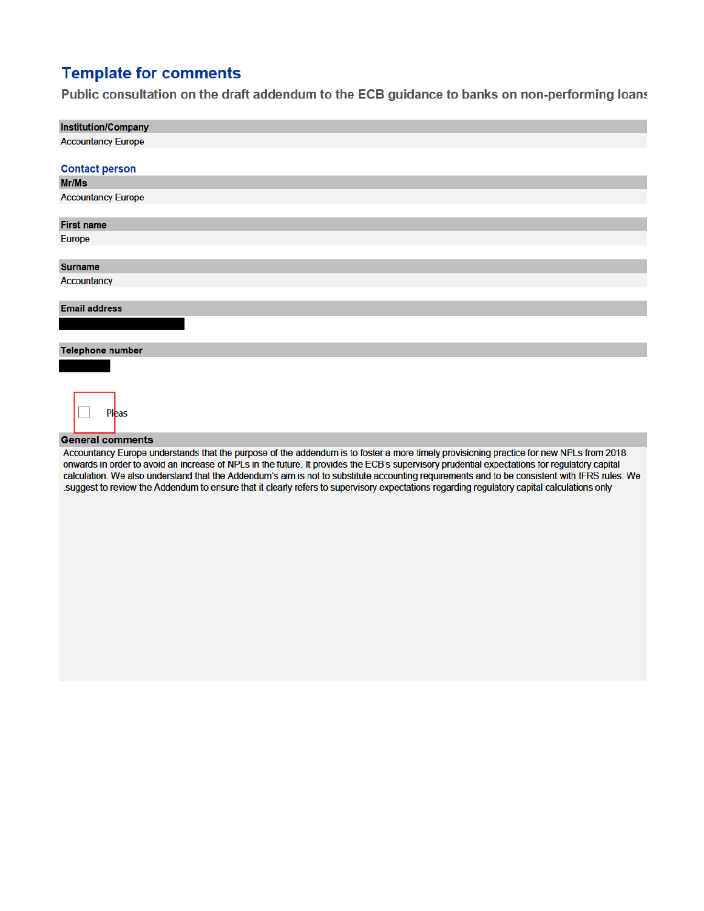## **Template for comments**

Public consultation on the draft addendum to the ECB guidance to banks on non-performing loans

| <b>Institution/Company</b> |
|----------------------------|
| <b>Accountancy Europe</b>  |
|                            |
| <b>Contact person</b>      |
| Mr/Ms                      |
| <b>Accountancy Europe</b>  |
|                            |
| <b>First name</b>          |
| Europe                     |
|                            |
| <b>Surname</b>             |
| Accountancy                |
|                            |
| <b>Email address</b>       |
|                            |
|                            |
| Telephone number           |
|                            |
|                            |
|                            |
| Pleas                      |
|                            |
| <b>General comments</b>    |

Accountancy Europe understands that the purpose of the addendum is to foster a more timely provisioning practice for new NPLs from 2018 onwards in order to avoid an increase of NPLs in the future. It provides the ECB's supervisory prudential expectations for regulatory capital calculation. We also understand that the Addendum's aim is not to substitute accounting requirements and to be consistent with IFRS rules. We suggest to review the Addendum to ensure that it clearly refers to supervisory expectations regarding regulatory capital calculations only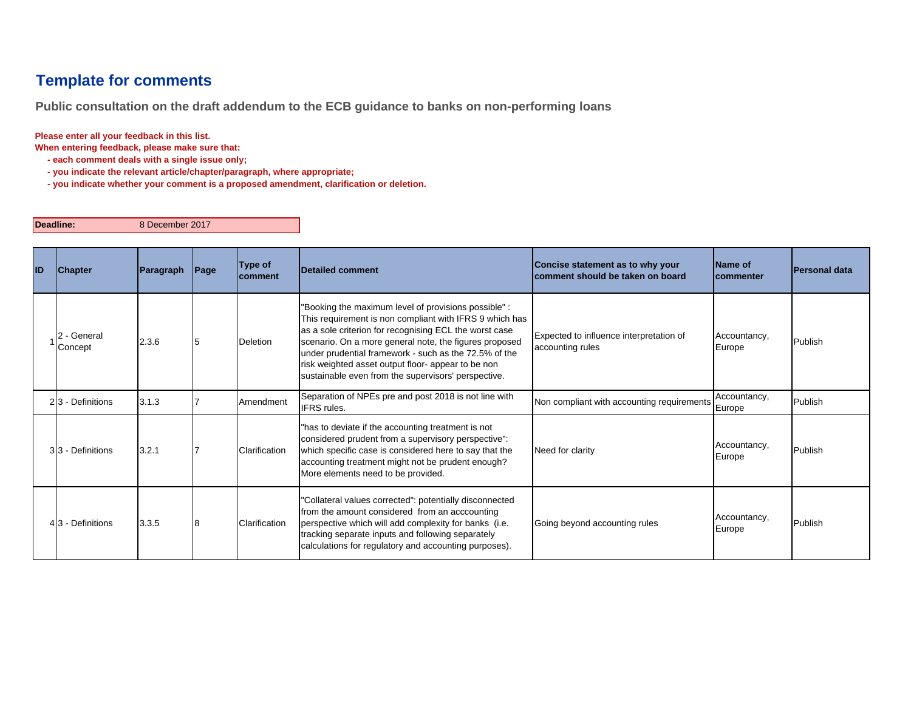## **Template for comments**

**Public consultation on the draft addendum to the ECB guidance to banks on non-performing loans**

## **Please enter all your feedback in this list.**

**When entering feedback, please make sure that:** 

- **each comment deals with a single issue only;**
- **you indicate the relevant article/chapter/paragraph, where appropriate;**
- **you indicate whether your comment is a proposed amendment, clarification or deletion.**

## **Deadline:**

8 December 2017

| ID | <b>Chapter</b>       | Paragraph | Page | Type of<br><b>comment</b> | Detailed comment                                                                                                                                                                                                                                                                                                                                                                                          | Concise statement as to why your<br>comment should be taken on board | Name of<br><b>commenter</b> | <b>IPersonal data</b> |
|----|----------------------|-----------|------|---------------------------|-----------------------------------------------------------------------------------------------------------------------------------------------------------------------------------------------------------------------------------------------------------------------------------------------------------------------------------------------------------------------------------------------------------|----------------------------------------------------------------------|-----------------------------|-----------------------|
|    | - General<br>Concept | 2.3.6     |      | Deletion                  | "Booking the maximum level of provisions possible" :<br>This requirement is non compliant with IFRS 9 which has<br>as a sole criterion for recognising ECL the worst case<br>scenario. On a more general note, the figures proposed<br>under prudential framework - such as the 72.5% of the<br>risk weighted asset output floor- appear to be non<br>sustainable even from the supervisors' perspective. | Expected to influence interpretation of<br>accounting rules          | Accountancy,<br>Europe      | Publish               |
|    | 23 - Definitions     | 3.1.3     |      | Amendment                 | Separation of NPEs pre and post 2018 is not line with<br>IFRS rules.                                                                                                                                                                                                                                                                                                                                      | Non compliant with accounting requirements                           | Accountancy,<br>Europe      | Publish               |
|    | 33 - Definitions     | 3.2.1     |      | Clarification             | "has to deviate if the accounting treatment is not<br>considered prudent from a supervisory perspective":<br>which specific case is considered here to say that the<br>accounting treatment might not be prudent enough?<br>More elements need to be provided.                                                                                                                                            | Need for clarity                                                     | Accountancy,<br>Europe      | Publish               |
|    | 43 - Definitions     | 3.3.5     | 18   | Clarification             | 'Collateral values corrected": potentially disconnected<br>from the amount considered from an acccounting<br>perspective which will add complexity for banks (i.e.<br>tracking separate inputs and following separately<br>calculations for regulatory and accounting purposes).                                                                                                                          | Going beyond accounting rules                                        | Accountancy,<br>Europe      | Publish               |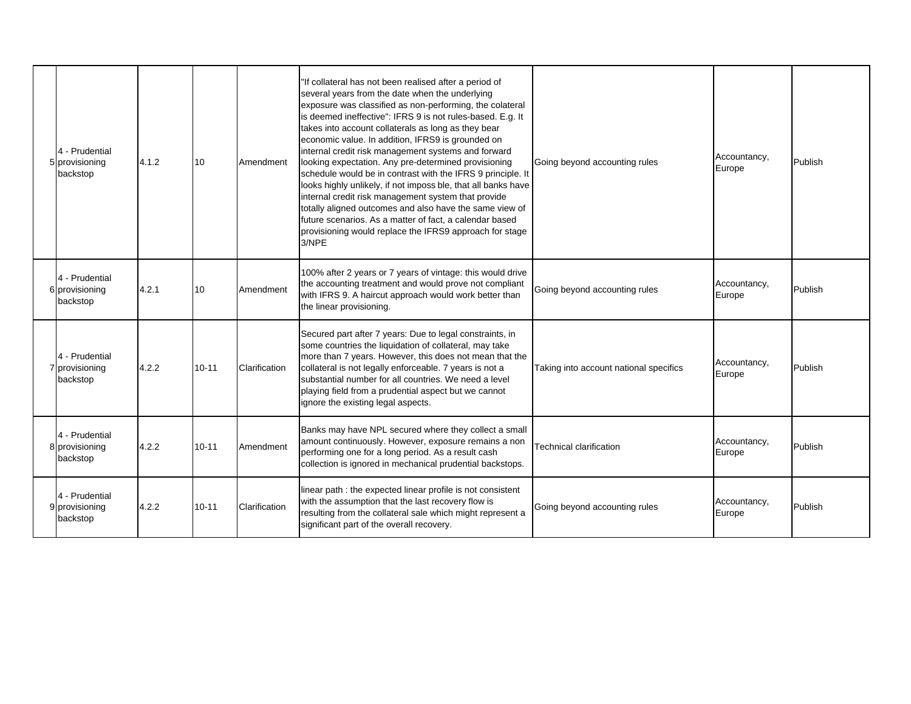| 4 - Prudential<br>5 provisioning<br>backstop | 4.1.2 | 10        | Amendment     | "If collateral has not been realised after a period of<br>several years from the date when the underlying<br>exposure was classified as non-performing, the colateral<br>is deemed ineffective": IFRS 9 is not rules-based. E.g. It<br>takes into account collaterals as long as they bear<br>economic value. In addition, IFRS9 is grounded on<br>internal credit risk management systems and forward<br>looking expectation. Any pre-determined provisioning<br>schedule would be in contrast with the IFRS 9 principle. It<br>looks highly unlikely, if not imposs ble, that all banks have<br>internal credit risk management system that provide<br>totally aligned outcomes and also have the same view of<br>future scenarios. As a matter of fact, a calendar based<br>provisioning would replace the IFRS9 approach for stage<br>3/NPE | Going beyond accounting rules          | Accountancy,<br>Europe | Publish |
|----------------------------------------------|-------|-----------|---------------|-------------------------------------------------------------------------------------------------------------------------------------------------------------------------------------------------------------------------------------------------------------------------------------------------------------------------------------------------------------------------------------------------------------------------------------------------------------------------------------------------------------------------------------------------------------------------------------------------------------------------------------------------------------------------------------------------------------------------------------------------------------------------------------------------------------------------------------------------|----------------------------------------|------------------------|---------|
| 4 - Prudential<br>6 provisioning<br>backstop | 4.2.1 | 10        | Amendment     | 100% after 2 years or 7 years of vintage: this would drive<br>the accounting treatment and would prove not compliant<br>with IFRS 9. A haircut approach would work better than<br>the linear provisioning.                                                                                                                                                                                                                                                                                                                                                                                                                                                                                                                                                                                                                                      | Going beyond accounting rules          | Accountancy,<br>Europe | Publish |
| 4 - Prudential<br>7 provisioning<br>backstop | 4.2.2 | $10 - 11$ | Clarification | Secured part after 7 years: Due to legal constraints, in<br>some countries the liquidation of collateral, may take<br>more than 7 years. However, this does not mean that the<br>collateral is not legally enforceable. 7 years is not a<br>substantial number for all countries. We need a level<br>playing field from a prudential aspect but we cannot<br>ignore the existing legal aspects.                                                                                                                                                                                                                                                                                                                                                                                                                                                 | Taking into account national specifics | Accountancy,<br>Europe | Publish |
| 4 - Prudential<br>8 provisioning<br>backstop | 4.2.2 | $10 - 11$ | Amendment     | Banks may have NPL secured where they collect a small<br>amount continuously. However, exposure remains a non<br>performing one for a long period. As a result cash<br>collection is ignored in mechanical prudential backstops.                                                                                                                                                                                                                                                                                                                                                                                                                                                                                                                                                                                                                | Technical clarification                | Accountancy,<br>Europe | Publish |
| 4 - Prudential<br>9 provisioning<br>backstop | 4.2.2 | $10 - 11$ | Clarification | linear path : the expected linear profile is not consistent<br>with the assumption that the last recovery flow is<br>resulting from the collateral sale which might represent a<br>significant part of the overall recovery.                                                                                                                                                                                                                                                                                                                                                                                                                                                                                                                                                                                                                    | Going beyond accounting rules          | Accountancy,<br>Europe | Publish |